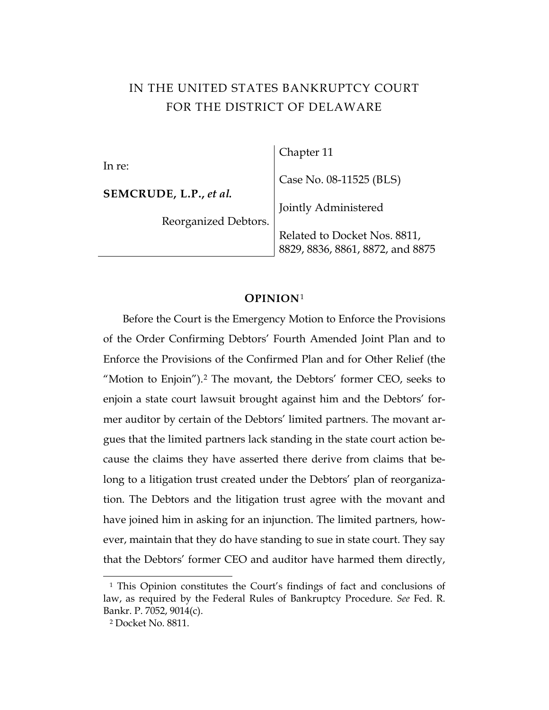# IN THE UNITED STATES BANKRUPTCY COURT FOR THE DISTRICT OF DELAWARE

|                        | Chapter 11                       |
|------------------------|----------------------------------|
| In re:                 | Case No. 08-11525 (BLS)          |
| SEMCRUDE, L.P., et al. | Jointly Administered             |
| Reorganized Debtors.   |                                  |
|                        | Related to Docket Nos. 8811,     |
|                        | 8829, 8836, 8861, 8872, and 8875 |

#### **OPINION**[1](#page-0-0)

Before the Court is the Emergency Motion to Enforce the Provisions of the Order Confirming Debtors' Fourth Amended Joint Plan and to Enforce the Provisions of the Confirmed Plan and for Other Relief (the "Motion to Enjoin").[2](#page-0-1) The movant, the Debtors' former CEO, seeks to enjoin a state court lawsuit brought against him and the Debtors' former auditor by certain of the Debtors' limited partners. The movant argues that the limited partners lack standing in the state court action because the claims they have asserted there derive from claims that belong to a litigation trust created under the Debtors' plan of reorganization. The Debtors and the litigation trust agree with the movant and have joined him in asking for an injunction. The limited partners, however, maintain that they do have standing to sue in state court. They say that the Debtors' former CEO and auditor have harmed them directly,

<span id="page-0-1"></span><span id="page-0-0"></span><sup>&</sup>lt;sup>1</sup> This Opinion constitutes the Court's findings of fact and conclusions of law, as required by the Federal Rules of Bankruptcy Procedure. *See* Fed. R. Bankr. P. 7052, 9014(c).

<sup>2</sup> Docket No. 8811.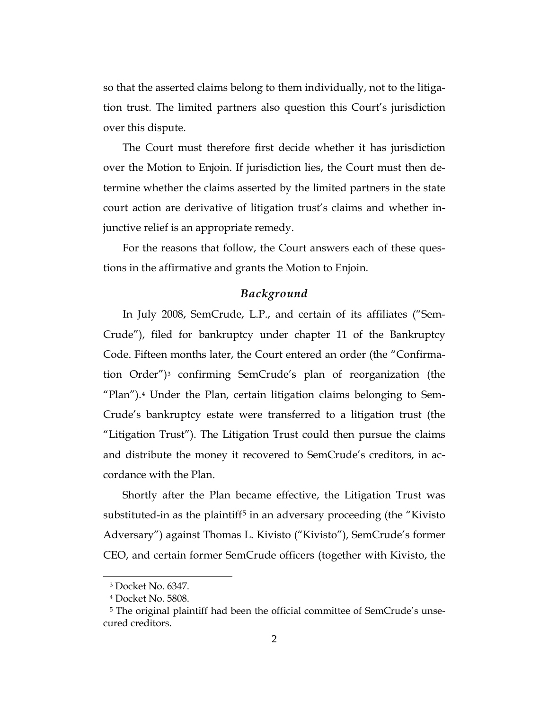so that the asserted claims belong to them individually, not to the litigation trust. The limited partners also question this Court's jurisdiction over this dispute.

The Court must therefore first decide whether it has jurisdiction over the Motion to Enjoin. If jurisdiction lies, the Court must then determine whether the claims asserted by the limited partners in the state court action are derivative of litigation trust's claims and whether injunctive relief is an appropriate remedy.

For the reasons that follow, the Court answers each of these questions in the affirmative and grants the Motion to Enjoin.

#### *Background*

In July 2008, SemCrude, L.P., and certain of its affiliates ("Sem-Crude"), filed for bankruptcy under chapter 11 of the Bankruptcy Code. Fifteen months later, the Court entered an order (the "Confirmation Order")[3](#page-1-0) confirming SemCrude's plan of reorganization (the "Plan").[4](#page-1-1) Under the Plan, certain litigation claims belonging to Sem-Crude's bankruptcy estate were transferred to a litigation trust (the "Litigation Trust"). The Litigation Trust could then pursue the claims and distribute the money it recovered to SemCrude's creditors, in accordance with the Plan.

Shortly after the Plan became effective, the Litigation Trust was substituted-in as the plaintiff [5](#page-1-2) in an adversary proceeding (the "Kivisto Adversary") against Thomas L. Kivisto ("Kivisto"), SemCrude's former CEO, and certain former SemCrude officers (together with Kivisto, the

<sup>3</sup> Docket No. 6347.

<sup>4</sup> Docket No. 5808.

<span id="page-1-2"></span><span id="page-1-1"></span><span id="page-1-0"></span><sup>&</sup>lt;sup>5</sup> The original plaintiff had been the official committee of SemCrude's unsecured creditors.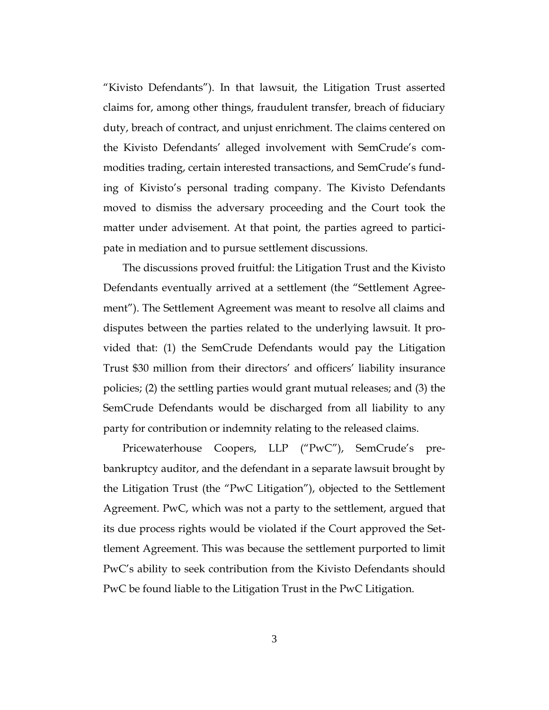"Kivisto Defendants"). In that lawsuit, the Litigation Trust asserted claims for, among other things, fraudulent transfer, breach of fiduciary duty, breach of contract, and unjust enrichment. The claims centered on the Kivisto Defendants' alleged involvement with SemCrude's commodities trading, certain interested transactions, and SemCrude's funding of Kivisto's personal trading company. The Kivisto Defendants moved to dismiss the adversary proceeding and the Court took the matter under advisement. At that point, the parties agreed to participate in mediation and to pursue settlement discussions.

The discussions proved fruitful: the Litigation Trust and the Kivisto Defendants eventually arrived at a settlement (the "Settlement Agreement"). The Settlement Agreement was meant to resolve all claims and disputes between the parties related to the underlying lawsuit. It provided that: (1) the SemCrude Defendants would pay the Litigation Trust \$30 million from their directors' and officers' liability insurance policies; (2) the settling parties would grant mutual releases; and (3) the SemCrude Defendants would be discharged from all liability to any party for contribution or indemnity relating to the released claims.

Pricewaterhouse Coopers, LLP ("PwC"), SemCrude's prebankruptcy auditor, and the defendant in a separate lawsuit brought by the Litigation Trust (the "PwC Litigation"), objected to the Settlement Agreement. PwC, which was not a party to the settlement, argued that its due process rights would be violated if the Court approved the Settlement Agreement. This was because the settlement purported to limit PwC's ability to seek contribution from the Kivisto Defendants should PwC be found liable to the Litigation Trust in the PwC Litigation.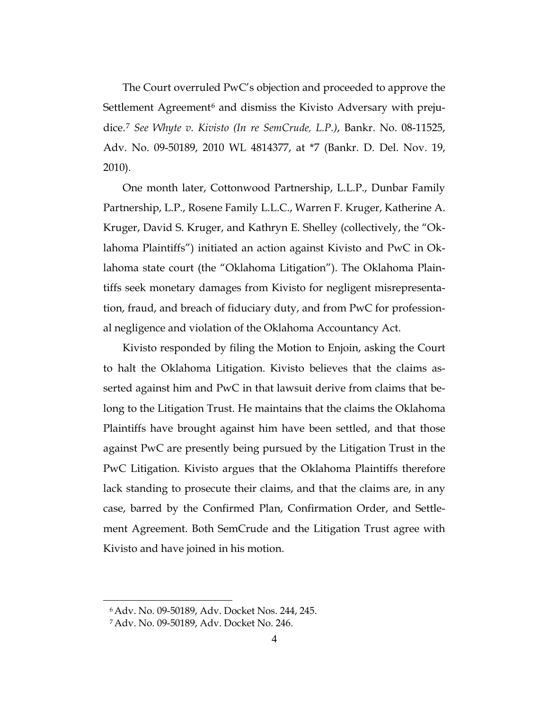The Court overruled PwC's objection and proceeded to approve the Settlement Agreement<sup>[6](#page-3-0)</sup> and dismiss the Kivisto Adversary with prejudice.[7](#page-3-1) *See Whyte v. Kivisto (In re SemCrude, L.P.)*, Bankr. No. 08-11525, Adv. No. 09-50189, 2010 WL 4814377, at \*7 (Bankr. D. Del. Nov. 19, 2010).

One month later, Cottonwood Partnership, L.L.P., Dunbar Family Partnership, L.P., Rosene Family L.L.C., Warren F. Kruger, Katherine A. Kruger, David S. Kruger, and Kathryn E. Shelley (collectively, the "Oklahoma Plaintiffs") initiated an action against Kivisto and PwC in Oklahoma state court (the "Oklahoma Litigation"). The Oklahoma Plaintiffs seek monetary damages from Kivisto for negligent misrepresentation, fraud, and breach of fiduciary duty, and from PwC for professional negligence and violation of the Oklahoma Accountancy Act.

Kivisto responded by filing the Motion to Enjoin, asking the Court to halt the Oklahoma Litigation. Kivisto believes that the claims asserted against him and PwC in that lawsuit derive from claims that belong to the Litigation Trust. He maintains that the claims the Oklahoma Plaintiffs have brought against him have been settled, and that those against PwC are presently being pursued by the Litigation Trust in the PwC Litigation. Kivisto argues that the Oklahoma Plaintiffs therefore lack standing to prosecute their claims, and that the claims are, in any case, barred by the Confirmed Plan, Confirmation Order, and Settlement Agreement. Both SemCrude and the Litigation Trust agree with Kivisto and have joined in his motion.

<span id="page-3-0"></span><sup>6</sup>Adv. No. 09-50189, Adv. Docket Nos. 244, 245.

<span id="page-3-1"></span><sup>7</sup>Adv. No. 09-50189, Adv. Docket No. 246.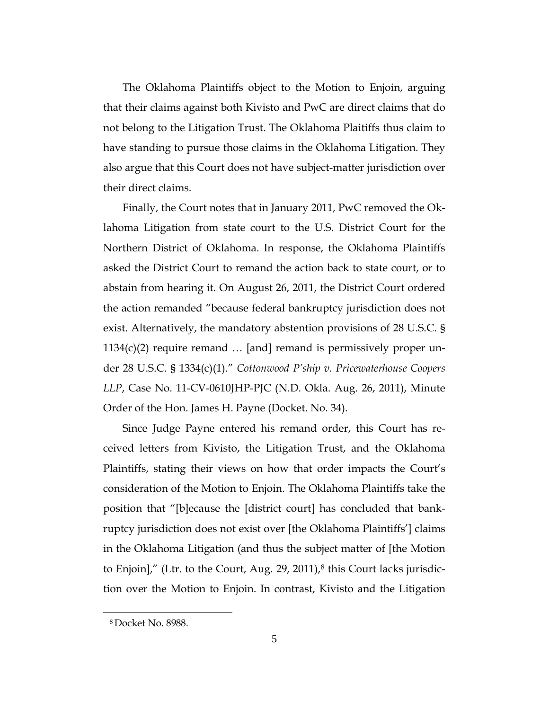The Oklahoma Plaintiffs object to the Motion to Enjoin, arguing that their claims against both Kivisto and PwC are direct claims that do not belong to the Litigation Trust. The Oklahoma Plaitiffs thus claim to have standing to pursue those claims in the Oklahoma Litigation. They also argue that this Court does not have subject-matter jurisdiction over their direct claims.

Finally, the Court notes that in January 2011, PwC removed the Oklahoma Litigation from state court to the U.S. District Court for the Northern District of Oklahoma. In response, the Oklahoma Plaintiffs asked the District Court to remand the action back to state court, or to abstain from hearing it. On August 26, 2011, the District Court ordered the action remanded "because federal bankruptcy jurisdiction does not exist. Alternatively, the mandatory abstention provisions of 28 U.S.C. §  $1134(c)(2)$  require remand  $\dots$  [and] remand is permissively proper under 28 U.S.C. § 1334(c)(1)." *Cottonwood P'ship v. Pricewaterhouse Coopers LLP*, Case No. 11-CV-0610JHP-PJC (N.D. Okla. Aug. 26, 2011), Minute Order of the Hon. James H. Payne (Docket. No. 34).

Since Judge Payne entered his remand order, this Court has received letters from Kivisto, the Litigation Trust, and the Oklahoma Plaintiffs, stating their views on how that order impacts the Court's consideration of the Motion to Enjoin. The Oklahoma Plaintiffs take the position that "[b]ecause the [district court] has concluded that bankruptcy jurisdiction does not exist over [the Oklahoma Plaintiffs'] claims in the Oklahoma Litigation (and thus the subject matter of [the Motion to Enjoin]," (Ltr. to the Court, Aug. 29, 2011),<sup>[8](#page-4-0)</sup> this Court lacks jurisdiction over the Motion to Enjoin. In contrast, Kivisto and the Litigation

<span id="page-4-0"></span><sup>8</sup> Docket No. 8988.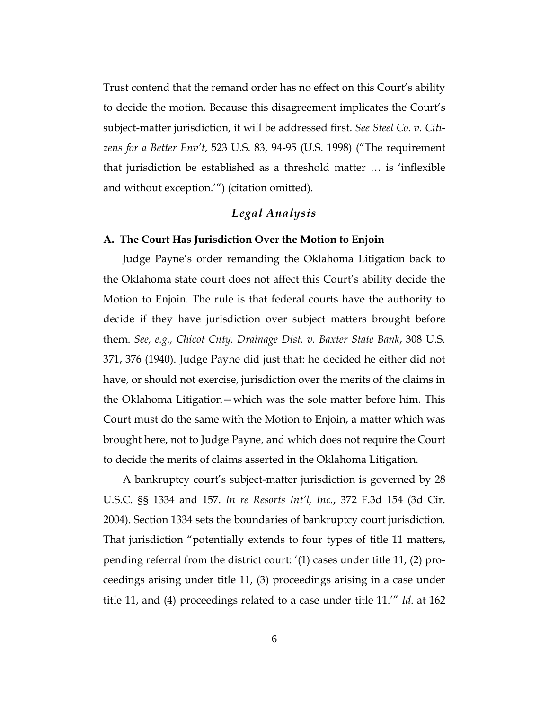Trust contend that the remand order has no effect on this Court's ability to decide the motion. Because this disagreement implicates the Court's subject-matter jurisdiction, it will be addressed first. *See Steel Co. v. Citizens for a Better Env't*, 523 U.S. 83, 94-95 (U.S. 1998) ("The requirement that jurisdiction be established as a threshold matter … is 'inflexible and without exception.'") (citation omitted).

### *Legal Analysis*

#### **A. The Court Has Jurisdiction Over the Motion to Enjoin**

Judge Payne's order remanding the Oklahoma Litigation back to the Oklahoma state court does not affect this Court's ability decide the Motion to Enjoin. The rule is that federal courts have the authority to decide if they have jurisdiction over subject matters brought before them. *See, e.g., Chicot Cnty. Drainage Dist. v. Baxter State Bank*, 308 U.S. 371, 376 (1940). Judge Payne did just that: he decided he either did not have, or should not exercise, jurisdiction over the merits of the claims in the Oklahoma Litigation—which was the sole matter before him. This Court must do the same with the Motion to Enjoin, a matter which was brought here, not to Judge Payne, and which does not require the Court to decide the merits of claims asserted in the Oklahoma Litigation.

A bankruptcy court's subject-matter jurisdiction is governed by 28 U.S.C. §§ 1334 and 157. *In re Resorts Int'l, Inc.*, 372 F.3d 154 (3d Cir. 2004). Section 1334 sets the boundaries of bankruptcy court jurisdiction. That jurisdiction "potentially extends to four types of title 11 matters, pending referral from the district court: '(1) cases under title 11, (2) proceedings arising under title 11, (3) proceedings arising in a case under title 11, and (4) proceedings related to a case under title 11.'" *Id*. at 162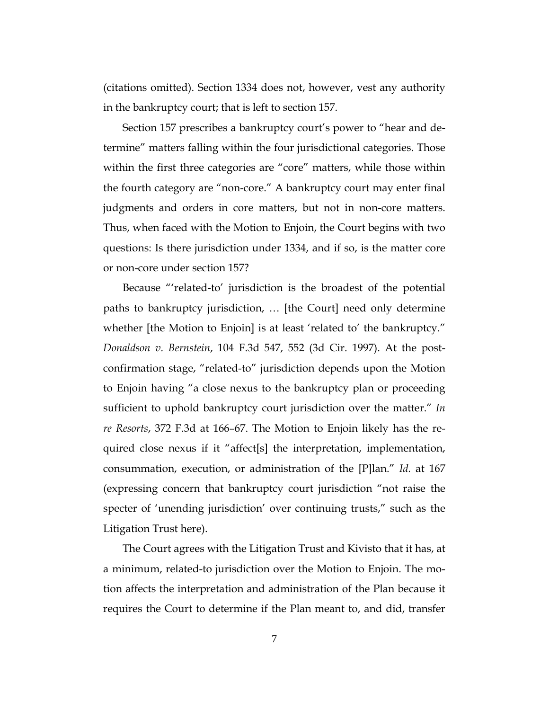(citations omitted). Section 1334 does not, however, vest any authority in the bankruptcy court; that is left to section 157.

Section 157 prescribes a bankruptcy court's power to "hear and determine" matters falling within the four jurisdictional categories. Those within the first three categories are "core" matters, while those within the fourth category are "non-core." A bankruptcy court may enter final judgments and orders in core matters, but not in non-core matters. Thus, when faced with the Motion to Enjoin, the Court begins with two questions: Is there jurisdiction under 1334, and if so, is the matter core or non-core under section 157?

Because "'related-to' jurisdiction is the broadest of the potential paths to bankruptcy jurisdiction, … [the Court] need only determine whether [the Motion to Enjoin] is at least 'related to' the bankruptcy." *Donaldson v. Bernstein*, 104 F.3d 547, 552 (3d Cir. 1997). At the postconfirmation stage, "related-to" jurisdiction depends upon the Motion to Enjoin having "a close nexus to the bankruptcy plan or proceeding sufficient to uphold bankruptcy court jurisdiction over the matter." *In re Resorts*, 372 F.3d at 166–67. The Motion to Enjoin likely has the required close nexus if it "affect[s] the interpretation, implementation, consummation, execution, or administration of the [P]lan." *Id.* at 167 (expressing concern that bankruptcy court jurisdiction "not raise the specter of 'unending jurisdiction' over continuing trusts," such as the Litigation Trust here).

The Court agrees with the Litigation Trust and Kivisto that it has, at a minimum, related-to jurisdiction over the Motion to Enjoin. The motion affects the interpretation and administration of the Plan because it requires the Court to determine if the Plan meant to, and did, transfer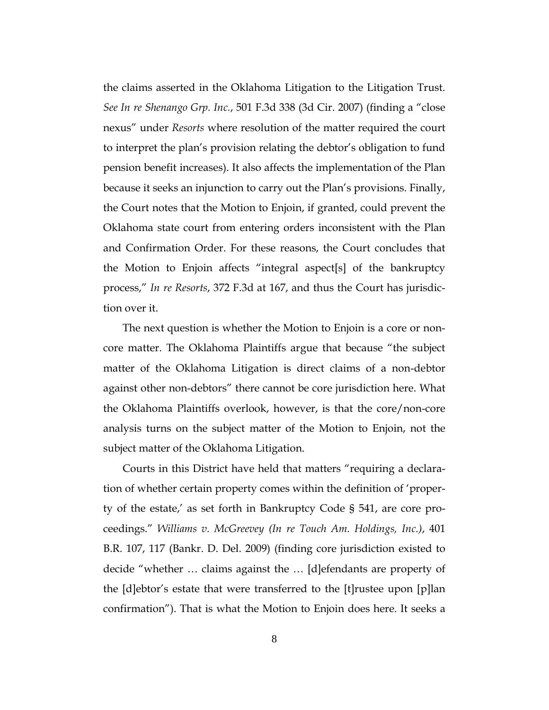the claims asserted in the Oklahoma Litigation to the Litigation Trust. *See In re Shenango Grp. Inc.*, 501 F.3d 338 (3d Cir. 2007) (finding a "close nexus" under *Resorts* where resolution of the matter required the court to interpret the plan's provision relating the debtor's obligation to fund pension benefit increases). It also affects the implementation of the Plan because it seeks an injunction to carry out the Plan's provisions. Finally, the Court notes that the Motion to Enjoin, if granted, could prevent the Oklahoma state court from entering orders inconsistent with the Plan and Confirmation Order. For these reasons, the Court concludes that the Motion to Enjoin affects "integral aspect[s] of the bankruptcy process," *In re Resorts*, 372 F.3d at 167, and thus the Court has jurisdiction over it.

The next question is whether the Motion to Enjoin is a core or noncore matter. The Oklahoma Plaintiffs argue that because "the subject matter of the Oklahoma Litigation is direct claims of a non-debtor against other non-debtors" there cannot be core jurisdiction here. What the Oklahoma Plaintiffs overlook, however, is that the core/non-core analysis turns on the subject matter of the Motion to Enjoin, not the subject matter of the Oklahoma Litigation.

Courts in this District have held that matters "requiring a declaration of whether certain property comes within the definition of 'property of the estate,' as set forth in Bankruptcy Code § 541, are core proceedings." *Williams v. McGreevey (In re Touch Am. Holdings, Inc.)*, 401 B.R. 107, 117 (Bankr. D. Del. 2009) (finding core jurisdiction existed to decide "whether … claims against the … [d]efendants are property of the [d]ebtor's estate that were transferred to the [t]rustee upon [p]lan confirmation"). That is what the Motion to Enjoin does here. It seeks a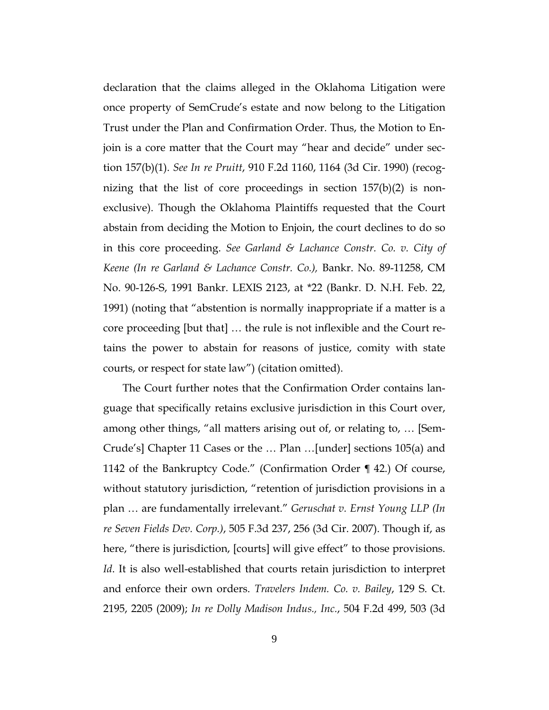declaration that the claims alleged in the Oklahoma Litigation were once property of SemCrude's estate and now belong to the Litigation Trust under the Plan and Confirmation Order. Thus, the Motion to Enjoin is a core matter that the Court may "hear and decide" under section 157(b)(1). *See In re Pruitt*, 910 F.2d 1160, 1164 (3d Cir. 1990) (recognizing that the list of core proceedings in section 157(b)(2) is nonexclusive). Though the Oklahoma Plaintiffs requested that the Court abstain from deciding the Motion to Enjoin, the court declines to do so in this core proceeding. *See Garland & Lachance Constr. Co. v. City of Keene (In re Garland & Lachance Constr. Co.),* Bankr. No. 89-11258, CM No. 90-126-S, 1991 Bankr. LEXIS 2123, at \*22 (Bankr. D. N.H. Feb. 22, 1991) (noting that "abstention is normally inappropriate if a matter is a core proceeding [but that] … the rule is not inflexible and the Court retains the power to abstain for reasons of justice, comity with state courts, or respect for state law") (citation omitted).

The Court further notes that the Confirmation Order contains language that specifically retains exclusive jurisdiction in this Court over, among other things, "all matters arising out of, or relating to, … [Sem-Crude's] Chapter 11 Cases or the … Plan …[under] sections 105(a) and 1142 of the Bankruptcy Code." (Confirmation Order ¶ 42.) Of course, without statutory jurisdiction, "retention of jurisdiction provisions in a plan … are fundamentally irrelevant." *Geruschat v. Ernst Young LLP (In re Seven Fields Dev. Corp.)*, 505 F.3d 237, 256 (3d Cir. 2007). Though if, as here, "there is jurisdiction, [courts] will give effect" to those provisions. *Id*. It is also well-established that courts retain jurisdiction to interpret and enforce their own orders. *Travelers Indem. Co. v. Bailey*, 129 S. Ct. 2195, 2205 (2009); *In re Dolly Madison Indus., Inc.*, 504 F.2d 499, 503 (3d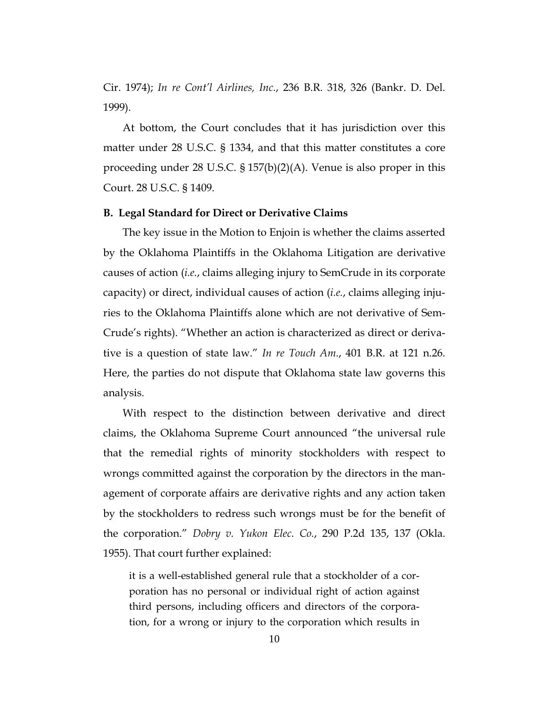Cir. 1974); *In re Cont'l Airlines, Inc.*, 236 B.R. 318, 326 (Bankr. D. Del. 1999).

At bottom, the Court concludes that it has jurisdiction over this matter under 28 U.S.C. § 1334, and that this matter constitutes a core proceeding under 28 U.S.C. § 157(b)(2)(A). Venue is also proper in this Court. 28 U.S.C. § 1409.

#### **B. Legal Standard for Direct or Derivative Claims**

The key issue in the Motion to Enjoin is whether the claims asserted by the Oklahoma Plaintiffs in the Oklahoma Litigation are derivative causes of action (*i.e.*, claims alleging injury to SemCrude in its corporate capacity) or direct, individual causes of action (*i.e.*, claims alleging injuries to the Oklahoma Plaintiffs alone which are not derivative of Sem-Crude's rights). "Whether an action is characterized as direct or derivative is a question of state law." *In re Touch Am.*, 401 B.R. at 121 n.26. Here, the parties do not dispute that Oklahoma state law governs this analysis.

With respect to the distinction between derivative and direct claims, the Oklahoma Supreme Court announced "the universal rule that the remedial rights of minority stockholders with respect to wrongs committed against the corporation by the directors in the management of corporate affairs are derivative rights and any action taken by the stockholders to redress such wrongs must be for the benefit of the corporation." *Dobry v. Yukon Elec. Co.*, 290 P.2d 135, 137 (Okla. 1955). That court further explained:

it is a well-established general rule that a stockholder of a corporation has no personal or individual right of action against third persons, including officers and directors of the corporation, for a wrong or injury to the corporation which results in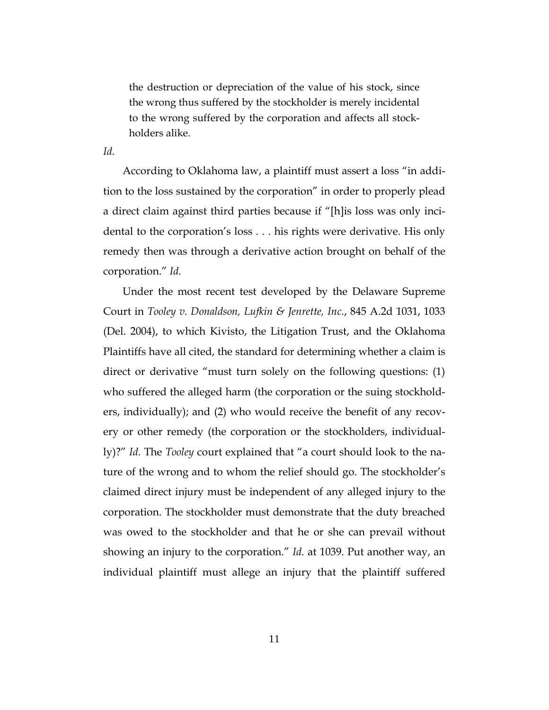the destruction or depreciation of the value of his stock, since the wrong thus suffered by the stockholder is merely incidental to the wrong suffered by the corporation and affects all stockholders alike.

*Id.*

According to Oklahoma law, a plaintiff must assert a loss "in addition to the loss sustained by the corporation" in order to properly plead a direct claim against third parties because if "[h]is loss was only incidental to the corporation's loss . . . his rights were derivative. His only remedy then was through a derivative action brought on behalf of the corporation." *Id.*

Under the most recent test developed by the Delaware Supreme Court in *Tooley v. Donaldson, Lufkin & Jenrette, Inc.*, 845 A.2d 1031, 1033 (Del. 2004), to which Kivisto, the Litigation Trust, and the Oklahoma Plaintiffs have all cited, the standard for determining whether a claim is direct or derivative "must turn solely on the following questions: (1) who suffered the alleged harm (the corporation or the suing stockholders, individually); and (2) who would receive the benefit of any recovery or other remedy (the corporation or the stockholders, individually)?" *Id.* The *Tooley* court explained that "a court should look to the nature of the wrong and to whom the relief should go. The stockholder's claimed direct injury must be independent of any alleged injury to the corporation. The stockholder must demonstrate that the duty breached was owed to the stockholder and that he or she can prevail without showing an injury to the corporation." *Id.* at 1039. Put another way, an individual plaintiff must allege an injury that the plaintiff suffered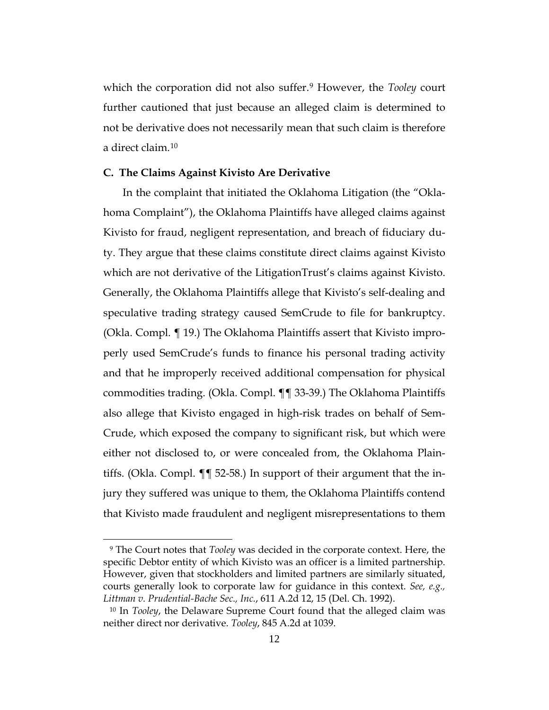which the corporation did not also suffer.[9](#page-11-0) However, the *Tooley* court further cautioned that just because an alleged claim is determined to not be derivative does not necessarily mean that such claim is therefore a direct claim.[10](#page-11-1)

#### **C. The Claims Against Kivisto Are Derivative**

In the complaint that initiated the Oklahoma Litigation (the "Oklahoma Complaint"), the Oklahoma Plaintiffs have alleged claims against Kivisto for fraud, negligent representation, and breach of fiduciary duty. They argue that these claims constitute direct claims against Kivisto which are not derivative of the LitigationTrust's claims against Kivisto. Generally, the Oklahoma Plaintiffs allege that Kivisto's self-dealing and speculative trading strategy caused SemCrude to file for bankruptcy. (Okla. Compl. ¶ 19.) The Oklahoma Plaintiffs assert that Kivisto improperly used SemCrude's funds to finance his personal trading activity and that he improperly received additional compensation for physical commodities trading. (Okla. Compl. ¶¶ 33-39.) The Oklahoma Plaintiffs also allege that Kivisto engaged in high-risk trades on behalf of Sem-Crude, which exposed the company to significant risk, but which were either not disclosed to, or were concealed from, the Oklahoma Plaintiffs. (Okla. Compl. ¶¶ 52-58.) In support of their argument that the injury they suffered was unique to them, the Oklahoma Plaintiffs contend that Kivisto made fraudulent and negligent misrepresentations to them

<span id="page-11-0"></span><sup>9</sup> The Court notes that *Tooley* was decided in the corporate context. Here, the specific Debtor entity of which Kivisto was an officer is a limited partnership. However, given that stockholders and limited partners are similarly situated, courts generally look to corporate law for guidance in this context. *See, e.g., Littman v. Prudential-Bache Sec., Inc.*, 611 A.2d 12, 15 (Del. Ch. 1992).

<span id="page-11-1"></span><sup>10</sup> In *Tooley*, the Delaware Supreme Court found that the alleged claim was neither direct nor derivative. *Tooley*, 845 A.2d at 1039.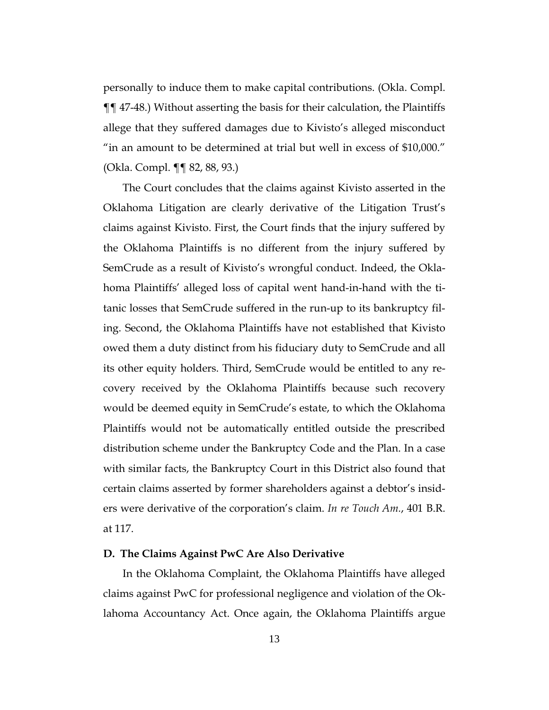personally to induce them to make capital contributions. (Okla. Compl. ¶¶ 47-48.) Without asserting the basis for their calculation, the Plaintiffs allege that they suffered damages due to Kivisto's alleged misconduct "in an amount to be determined at trial but well in excess of \$10,000." (Okla. Compl. ¶¶ 82, 88, 93.)

The Court concludes that the claims against Kivisto asserted in the Oklahoma Litigation are clearly derivative of the Litigation Trust's claims against Kivisto. First, the Court finds that the injury suffered by the Oklahoma Plaintiffs is no different from the injury suffered by SemCrude as a result of Kivisto's wrongful conduct. Indeed, the Oklahoma Plaintiffs' alleged loss of capital went hand-in-hand with the titanic losses that SemCrude suffered in the run-up to its bankruptcy filing. Second, the Oklahoma Plaintiffs have not established that Kivisto owed them a duty distinct from his fiduciary duty to SemCrude and all its other equity holders. Third, SemCrude would be entitled to any recovery received by the Oklahoma Plaintiffs because such recovery would be deemed equity in SemCrude's estate, to which the Oklahoma Plaintiffs would not be automatically entitled outside the prescribed distribution scheme under the Bankruptcy Code and the Plan. In a case with similar facts, the Bankruptcy Court in this District also found that certain claims asserted by former shareholders against a debtor's insiders were derivative of the corporation's claim. *In re Touch Am.*, 401 B.R. at 117.

#### **D. The Claims Against PwC Are Also Derivative**

In the Oklahoma Complaint, the Oklahoma Plaintiffs have alleged claims against PwC for professional negligence and violation of the Oklahoma Accountancy Act. Once again, the Oklahoma Plaintiffs argue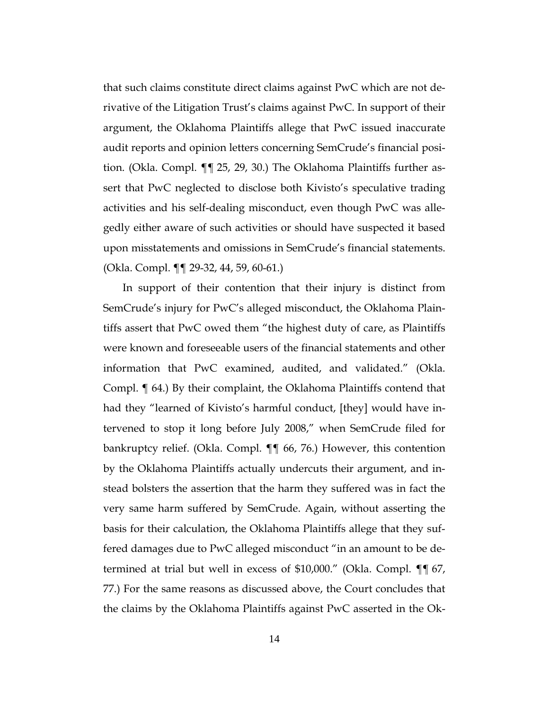that such claims constitute direct claims against PwC which are not derivative of the Litigation Trust's claims against PwC. In support of their argument, the Oklahoma Plaintiffs allege that PwC issued inaccurate audit reports and opinion letters concerning SemCrude's financial position. (Okla. Compl. ¶¶ 25, 29, 30.) The Oklahoma Plaintiffs further assert that PwC neglected to disclose both Kivisto's speculative trading activities and his self-dealing misconduct, even though PwC was allegedly either aware of such activities or should have suspected it based upon misstatements and omissions in SemCrude's financial statements. (Okla. Compl. ¶¶ 29-32, 44, 59, 60-61.)

In support of their contention that their injury is distinct from SemCrude's injury for PwC's alleged misconduct, the Oklahoma Plaintiffs assert that PwC owed them "the highest duty of care, as Plaintiffs were known and foreseeable users of the financial statements and other information that PwC examined, audited, and validated." (Okla. Compl. ¶ 64.) By their complaint, the Oklahoma Plaintiffs contend that had they "learned of Kivisto's harmful conduct, [they] would have intervened to stop it long before July 2008," when SemCrude filed for bankruptcy relief. (Okla. Compl. ¶¶ 66, 76.) However, this contention by the Oklahoma Plaintiffs actually undercuts their argument, and instead bolsters the assertion that the harm they suffered was in fact the very same harm suffered by SemCrude. Again, without asserting the basis for their calculation, the Oklahoma Plaintiffs allege that they suffered damages due to PwC alleged misconduct "in an amount to be determined at trial but well in excess of \$10,000." (Okla. Compl. ¶¶ 67, 77.) For the same reasons as discussed above, the Court concludes that the claims by the Oklahoma Plaintiffs against PwC asserted in the Ok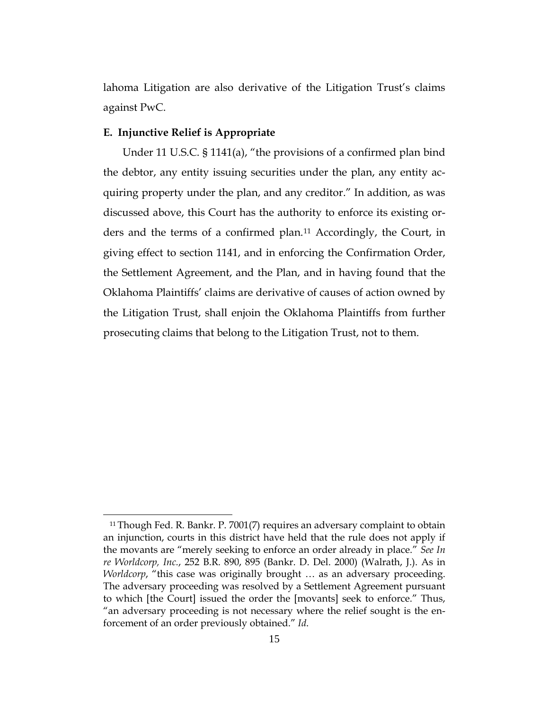lahoma Litigation are also derivative of the Litigation Trust's claims against PwC.

#### **E. Injunctive Relief is Appropriate**

Under 11 U.S.C. § 1141(a), "the provisions of a confirmed plan bind the debtor, any entity issuing securities under the plan, any entity acquiring property under the plan, and any creditor." In addition, as was discussed above, this Court has the authority to enforce its existing orders and the terms of a confirmed plan.[11](#page-14-0) Accordingly, the Court, in giving effect to section 1141, and in enforcing the Confirmation Order, the Settlement Agreement, and the Plan, and in having found that the Oklahoma Plaintiffs' claims are derivative of causes of action owned by the Litigation Trust, shall enjoin the Oklahoma Plaintiffs from further prosecuting claims that belong to the Litigation Trust, not to them.

<span id="page-14-0"></span> $\overline{a}$ <sup>11</sup> Though Fed. R. Bankr. P. 7001(7) requires an adversary complaint to obtain an injunction, courts in this district have held that the rule does not apply if the movants are "merely seeking to enforce an order already in place." *See In re Worldcorp, Inc.*, 252 B.R. 890, 895 (Bankr. D. Del. 2000) (Walrath, J.). As in *Worldcorp*, "this case was originally brought ... as an adversary proceeding. The adversary proceeding was resolved by a Settlement Agreement pursuant to which [the Court] issued the order the [movants] seek to enforce." Thus, "an adversary proceeding is not necessary where the relief sought is the enforcement of an order previously obtained." *Id*.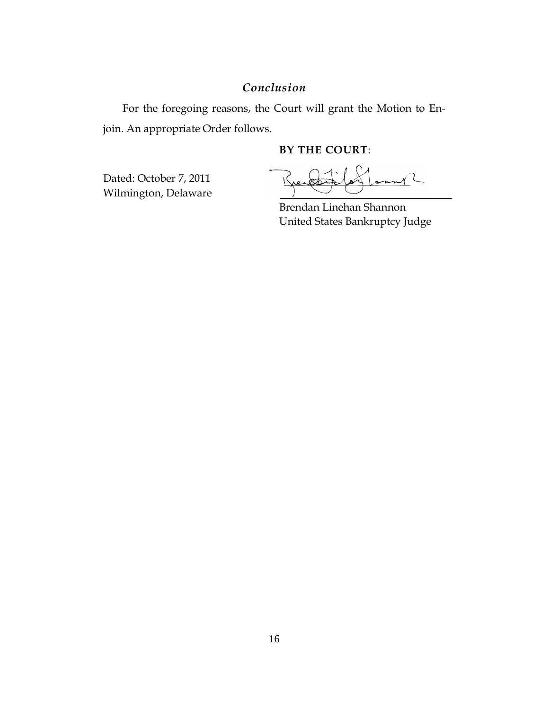## *Conclusion*

For the foregoing reasons, the Court will grant the Motion to Enjoin. An appropriate Order follows.

## **BY THE COURT**:

Dated: October 7, 2011 Wilmington, Delaware

 $m^{2}$  $\overline{1}$ 

Brendan Linehan Shannon United States Bankruptcy Judge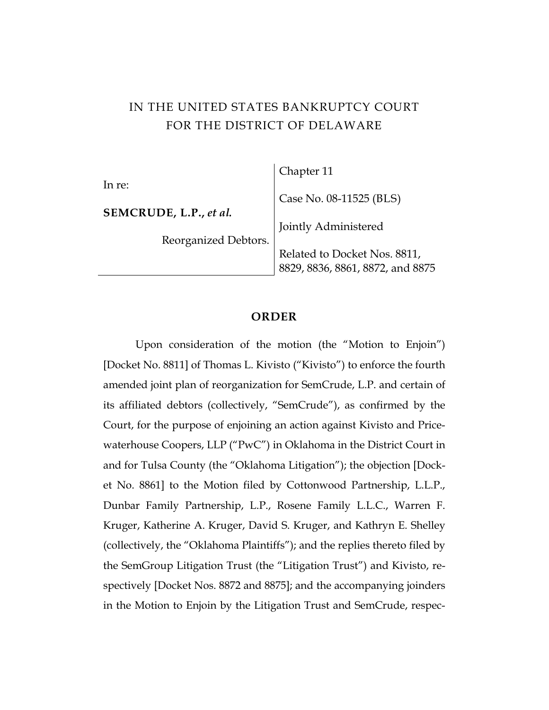# IN THE UNITED STATES BANKRUPTCY COURT FOR THE DISTRICT OF DELAWARE

|                        | Chapter 11                                                       |
|------------------------|------------------------------------------------------------------|
| In re:                 |                                                                  |
|                        | Case No. 08-11525 (BLS)                                          |
| SEMCRUDE, L.P., et al. |                                                                  |
|                        | Jointly Administered                                             |
| Reorganized Debtors.   |                                                                  |
|                        | Related to Docket Nos. 8811,<br>8829, 8836, 8861, 8872, and 8875 |
|                        |                                                                  |

### **ORDER**

Upon consideration of the motion (the "Motion to Enjoin") [Docket No. 8811] of Thomas L. Kivisto ("Kivisto") to enforce the fourth amended joint plan of reorganization for SemCrude, L.P. and certain of its affiliated debtors (collectively, "SemCrude"), as confirmed by the Court, for the purpose of enjoining an action against Kivisto and Pricewaterhouse Coopers, LLP ("PwC") in Oklahoma in the District Court in and for Tulsa County (the "Oklahoma Litigation"); the objection [Docket No. 8861] to the Motion filed by Cottonwood Partnership, L.L.P., Dunbar Family Partnership, L.P., Rosene Family L.L.C., Warren F. Kruger, Katherine A. Kruger, David S. Kruger, and Kathryn E. Shelley (collectively, the "Oklahoma Plaintiffs"); and the replies thereto filed by the SemGroup Litigation Trust (the "Litigation Trust") and Kivisto, respectively [Docket Nos. 8872 and 8875]; and the accompanying joinders in the Motion to Enjoin by the Litigation Trust and SemCrude, respec